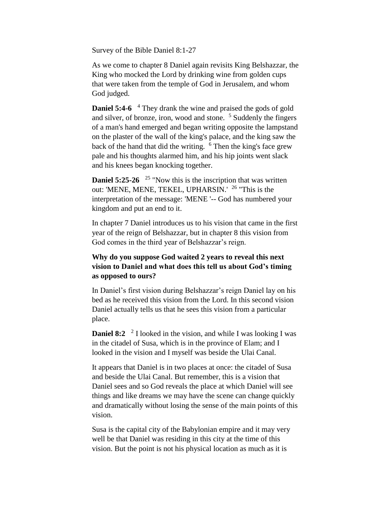Survey of the Bible Daniel 8:1-27

As we come to chapter 8 Daniel again revisits King Belshazzar, the King who mocked the Lord by drinking wine from golden cups that were taken from the temple of God in Jerusalem, and whom God judged.

**Daniel 5:4-6** <sup>4</sup> They drank the wine and praised the gods of gold and silver, of bronze, iron, wood and stone.  $5$  Suddenly the fingers of a man's hand emerged and began writing opposite the lampstand on the plaster of the wall of the king's palace, and the king saw the back of the hand that did the writing.  $6$  Then the king's face grew pale and his thoughts alarmed him, and his hip joints went slack and his knees began knocking together.

**Daniel 5:25-26** <sup>25</sup> "Now this is the inscription that was written out: 'MENE, MENE, TEKEL, UPHARSIN.' <sup>26</sup> "This is the interpretation of the message: 'MENE '-- God has numbered your kingdom and put an end to it.

In chapter 7 Daniel introduces us to his vision that came in the first year of the reign of Belshazzar, but in chapter 8 this vision from God comes in the third year of Belshazzar's reign.

## **Why do you suppose God waited 2 years to reveal this next vision to Daniel and what does this tell us about God's timing as opposed to ours?**

In Daniel's first vision during Belshazzar's reign Daniel lay on his bed as he received this vision from the Lord. In this second vision Daniel actually tells us that he sees this vision from a particular place.

**Daniel 8:2** <sup>2</sup> I looked in the vision, and while I was looking I was in the citadel of Susa, which is in the province of Elam; and I looked in the vision and I myself was beside the Ulai Canal.

It appears that Daniel is in two places at once: the citadel of Susa and beside the Ulai Canal. But remember, this is a vision that Daniel sees and so God reveals the place at which Daniel will see things and like dreams we may have the scene can change quickly and dramatically without losing the sense of the main points of this vision.

Susa is the capital city of the Babylonian empire and it may very well be that Daniel was residing in this city at the time of this vision. But the point is not his physical location as much as it is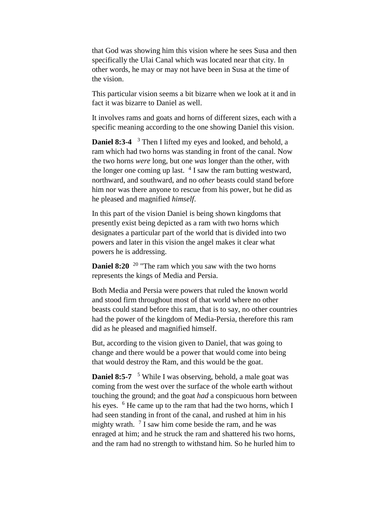that God was showing him this vision where he sees Susa and then specifically the Ulai Canal which was located near that city. In other words, he may or may not have been in Susa at the time of the vision.

This particular vision seems a bit bizarre when we look at it and in fact it was bizarre to Daniel as well.

It involves rams and goats and horns of different sizes, each with a specific meaning according to the one showing Daniel this vision.

**Daniel 8:3-4**  <sup>3</sup> Then I lifted my eyes and looked, and behold, a ram which had two horns was standing in front of the canal. Now the two horns *were* long, but one *was* longer than the other, with the longer one coming up last.  $4$  I saw the ram butting westward, northward, and southward, and no *other* beasts could stand before him nor was there anyone to rescue from his power, but he did as he pleased and magnified *himself*.

In this part of the vision Daniel is being shown kingdoms that presently exist being depicted as a ram with two horns which designates a particular part of the world that is divided into two powers and later in this vision the angel makes it clear what powers he is addressing.

**Daniel 8:20** <sup>20</sup> "The ram which you saw with the two horns represents the kings of Media and Persia.

Both Media and Persia were powers that ruled the known world and stood firm throughout most of that world where no other beasts could stand before this ram, that is to say, no other countries had the power of the kingdom of Media-Persia, therefore this ram did as he pleased and magnified himself.

But, according to the vision given to Daniel, that was going to change and there would be a power that would come into being that would destroy the Ram, and this would be the goat.

**Daniel 8:5-7**  <sup>5</sup> While I was observing, behold, a male goat was coming from the west over the surface of the whole earth without touching the ground; and the goat *had* a conspicuous horn between his eyes.  $6$  He came up to the ram that had the two horns, which I had seen standing in front of the canal, and rushed at him in his mighty wrath.  $7$  I saw him come beside the ram, and he was enraged at him; and he struck the ram and shattered his two horns, and the ram had no strength to withstand him. So he hurled him to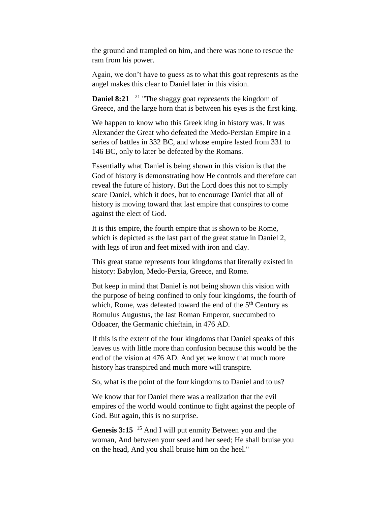the ground and trampled on him, and there was none to rescue the ram from his power.

Again, we don't have to guess as to what this goat represents as the angel makes this clear to Daniel later in this vision.

**Daniel 8:21**  <sup>21</sup> "The shaggy goat *represents* the kingdom of Greece, and the large horn that is between his eyes is the first king.

We happen to know who this Greek king in history was. It was Alexander the Great who defeated the Medo-Persian Empire in a series of battles in 332 BC, and whose empire lasted from 331 to 146 BC, only to later be defeated by the Romans.

Essentially what Daniel is being shown in this vision is that the God of history is demonstrating how He controls and therefore can reveal the future of history. But the Lord does this not to simply scare Daniel, which it does, but to encourage Daniel that all of history is moving toward that last empire that conspires to come against the elect of God.

It is this empire, the fourth empire that is shown to be Rome, which is depicted as the last part of the great statue in Daniel 2, with legs of iron and feet mixed with iron and clay.

This great statue represents four kingdoms that literally existed in history: Babylon, Medo-Persia, Greece, and Rome.

But keep in mind that Daniel is not being shown this vision with the purpose of being confined to only four kingdoms, the fourth of which, Rome, was defeated toward the end of the  $5<sup>th</sup>$  Century as Romulus Augustus, the last Roman Emperor, succumbed to Odoacer, the Germanic chieftain, in 476 AD.

If this is the extent of the four kingdoms that Daniel speaks of this leaves us with little more than confusion because this would be the end of the vision at 476 AD. And yet we know that much more history has transpired and much more will transpire.

So, what is the point of the four kingdoms to Daniel and to us?

We know that for Daniel there was a realization that the evil empires of the world would continue to fight against the people of God. But again, this is no surprise.

Genesis 3:15<sup>15</sup> And I will put enmity Between you and the woman, And between your seed and her seed; He shall bruise you on the head, And you shall bruise him on the heel."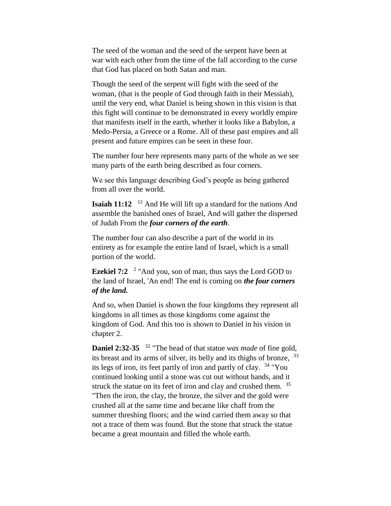The seed of the woman and the seed of the serpent have been at war with each other from the time of the fall according to the curse that God has placed on both Satan and man.

Though the seed of the serpent will fight with the seed of the woman, (that is the people of God through faith in their Messiah), until the very end, what Daniel is being shown in this vision is that this fight will continue to be demonstrated in every worldly empire that manifests itself in the earth, whether it looks like a Babylon, a Medo-Persia, a Greece or a Rome. All of these past empires and all present and future empires can be seen in these four.

The number four here represents many parts of the whole as we see many parts of the earth being described as four corners.

We see this language describing God's people as being gathered from all over the world.

**Isaiah 11:12** <sup>12</sup> And He will lift up a standard for the nations And assemble the banished ones of Israel, And will gather the dispersed of Judah From the *four corners of the earth*.

The number four can also describe a part of the world in its entirety as for example the entire land of Israel, which is a small portion of the world.

**Ezekiel 7:2** <sup>2</sup> "And you, son of man, thus says the Lord GOD to the land of Israel, 'An end! The end is coming on *the four corners of the land.*

And so, when Daniel is shown the four kingdoms they represent all kingdoms in all times as those kingdoms come against the kingdom of God. And this too is shown to Daniel in his vision in chapter 2.

**Daniel 2:32-35**  <sup>32</sup> "The head of that statue *was made* of fine gold, its breast and its arms of silver, its belly and its thighs of bronze, <sup>33</sup> its legs of iron, its feet partly of iron and partly of clay. <sup>34</sup> "You continued looking until a stone was cut out without hands, and it struck the statue on its feet of iron and clay and crushed them.  $35$ "Then the iron, the clay, the bronze, the silver and the gold were crushed all at the same time and became like chaff from the summer threshing floors; and the wind carried them away so that not a trace of them was found. But the stone that struck the statue became a great mountain and filled the whole earth.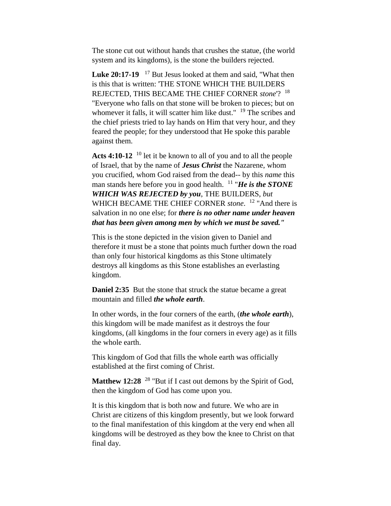The stone cut out without hands that crushes the statue, (the world system and its kingdoms), is the stone the builders rejected.

Luke 20:17-19 <sup>17</sup> But Jesus looked at them and said, "What then is this that is written: 'THE STONE WHICH THE BUILDERS REJECTED, THIS BECAME THE CHIEF CORNER *stone*'? <sup>18</sup> "Everyone who falls on that stone will be broken to pieces; but on whomever it falls, it will scatter him like dust."  $19$  The scribes and the chief priests tried to lay hands on Him that very hour, and they feared the people; for they understood that He spoke this parable against them.

Acts 4:10-12<sup>10</sup> let it be known to all of you and to all the people of Israel, that by the name of *Jesus Christ* the Nazarene, whom you crucified, whom God raised from the dead-- by this *name* this man stands here before you in good health. <sup>11</sup> "*He is the STONE WHICH WAS REJECTED by you*, THE BUILDERS, *but*  WHICH BECAME THE CHIEF CORNER *stone*. <sup>12</sup> "And there is salvation in no one else; for *there is no other name under heaven that has been given among men by which we must be saved."*

This is the stone depicted in the vision given to Daniel and therefore it must be a stone that points much further down the road than only four historical kingdoms as this Stone ultimately destroys all kingdoms as this Stone establishes an everlasting kingdom.

**Daniel 2:35** But the stone that struck the statue became a great mountain and filled *the whole earth*.

In other words, in the four corners of the earth, (*the whole earth*), this kingdom will be made manifest as it destroys the four kingdoms, (all kingdoms in the four corners in every age) as it fills the whole earth.

This kingdom of God that fills the whole earth was officially established at the first coming of Christ.

**Matthew 12:28** <sup>28</sup> "But if I cast out demons by the Spirit of God, then the kingdom of God has come upon you.

It is this kingdom that is both now and future. We who are in Christ are citizens of this kingdom presently, but we look forward to the final manifestation of this kingdom at the very end when all kingdoms will be destroyed as they bow the knee to Christ on that final day.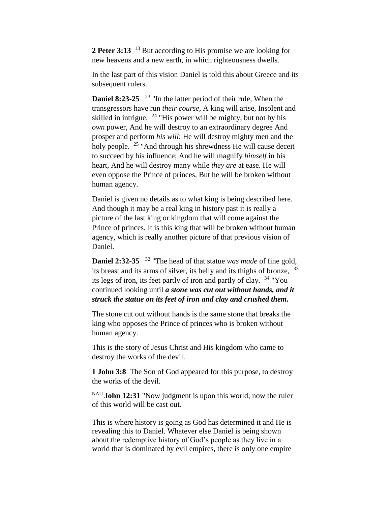**2 Peter 3:13** <sup>13</sup> But according to His promise we are looking for new heavens and a new earth, in which righteousness dwells.

In the last part of this vision Daniel is told this about Greece and its subsequent rulers.

**Daniel 8:23-25** <sup>23</sup> "In the latter period of their rule, When the transgressors have run *their course*, A king will arise, Insolent and skilled in intrigue.  $24$  "His power will be mighty, but not by his *own* power, And he will destroy to an extraordinary degree And prosper and perform *his will*; He will destroy mighty men and the holy people. <sup>25</sup> "And through his shrewdness He will cause deceit to succeed by his influence; And he will magnify *himself* in his heart, And he will destroy many while *they are* at ease. He will even oppose the Prince of princes, But he will be broken without human agency.

Daniel is given no details as to what king is being described here. And though it may be a real king in history past it is really a picture of the last king or kingdom that will come against the Prince of princes. It is this king that will be broken without human agency, which is really another picture of that previous vision of Daniel.

**Daniel 2:32-35**  <sup>32</sup> "The head of that statue *was made* of fine gold, its breast and its arms of silver, its belly and its thighs of bronze, <sup>33</sup> its legs of iron, its feet partly of iron and partly of clay.  $34$  "You continued looking until *a stone was cut out without hands, and it struck the statue on its feet of iron and clay and crushed them.*

The stone cut out without hands is the same stone that breaks the king who opposes the Prince of princes who is broken without human agency.

This is the story of Jesus Christ and His kingdom who came to destroy the works of the devil.

**1 John 3:8** The Son of God appeared for this purpose, to destroy the works of the devil.

NAU **John 12:31** "Now judgment is upon this world; now the ruler of this world will be cast out.

This is where history is going as God has determined it and He is revealing this to Daniel. Whatever else Daniel is being shown about the redemptive history of God's people as they live in a world that is dominated by evil empires, there is only one empire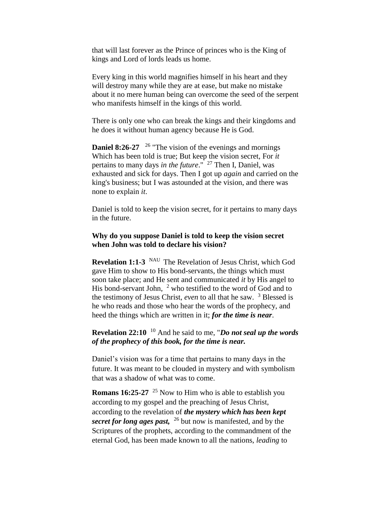that will last forever as the Prince of princes who is the King of kings and Lord of lords leads us home.

Every king in this world magnifies himself in his heart and they will destroy many while they are at ease, but make no mistake about it no mere human being can overcome the seed of the serpent who manifests himself in the kings of this world.

There is only one who can break the kings and their kingdoms and he does it without human agency because He is God.

**Daniel 8:26-27** <sup>26</sup> "The vision of the evenings and mornings Which has been told is true; But keep the vision secret, For *it*  pertains to many days *in the future*." <sup>27</sup> Then I, Daniel, was exhausted and sick for days. Then I got up *again* and carried on the king's business; but I was astounded at the vision, and there was none to explain *it*.

Daniel is told to keep the vision secret, for it pertains to many days in the future.

## **Why do you suppose Daniel is told to keep the vision secret when John was told to declare his vision?**

**Revelation 1:1-3** NAU The Revelation of Jesus Christ, which God gave Him to show to His bond-servants, the things which must soon take place; and He sent and communicated *it* by His angel to His bond-servant John,  $\frac{2}{3}$  who testified to the word of God and to the testimony of Jesus Christ, *even* to all that he saw. <sup>3</sup> Blessed is he who reads and those who hear the words of the prophecy, and heed the things which are written in it; *for the time is near*.

## **Revelation 22:10** <sup>10</sup> And he said to me, "*Do not seal up the words of the prophecy of this book, for the time is near.*

Daniel's vision was for a time that pertains to many days in the future. It was meant to be clouded in mystery and with symbolism that was a shadow of what was to come.

**Romans 16:25-27** <sup>25</sup> Now to Him who is able to establish you according to my gospel and the preaching of Jesus Christ, according to the revelation of *the mystery which has been kept secret for long ages past,* <sup>26</sup> but now is manifested, and by the Scriptures of the prophets, according to the commandment of the eternal God, has been made known to all the nations, *leading* to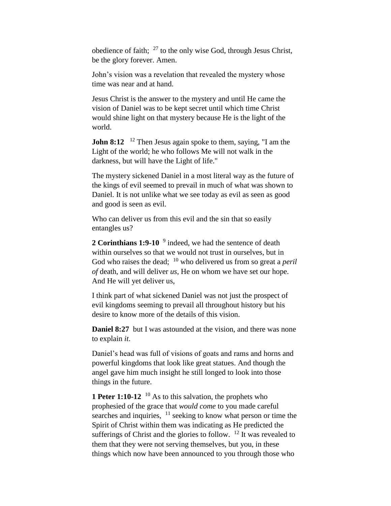obedience of faith; <sup>27</sup> to the only wise God, through Jesus Christ, be the glory forever. Amen.

John's vision was a revelation that revealed the mystery whose time was near and at hand.

Jesus Christ is the answer to the mystery and until He came the vision of Daniel was to be kept secret until which time Christ would shine light on that mystery because He is the light of the world.

**John 8:12** <sup>12</sup> Then Jesus again spoke to them, saying, "I am the Light of the world; he who follows Me will not walk in the darkness, but will have the Light of life."

The mystery sickened Daniel in a most literal way as the future of the kings of evil seemed to prevail in much of what was shown to Daniel. It is not unlike what we see today as evil as seen as good and good is seen as evil.

Who can deliver us from this evil and the sin that so easily entangles us?

2 Corinthians 1:9-10 <sup>9</sup> indeed, we had the sentence of death within ourselves so that we would not trust in ourselves, but in God who raises the dead; <sup>10</sup> who delivered us from so great a *peril of* death, and will deliver *us*, He on whom we have set our hope. And He will yet deliver us,

I think part of what sickened Daniel was not just the prospect of evil kingdoms seeming to prevail all throughout history but his desire to know more of the details of this vision.

**Daniel 8:27** but I was astounded at the vision, and there was none to explain *it*.

Daniel's head was full of visions of goats and rams and horns and powerful kingdoms that look like great statues. And though the angel gave him much insight he still longed to look into those things in the future.

**1 Peter 1:10-12** <sup>10</sup> As to this salvation, the prophets who prophesied of the grace that *would come* to you made careful searches and inquiries,  $11$  seeking to know what person or time the Spirit of Christ within them was indicating as He predicted the sufferings of Christ and the glories to follow.  $^{12}$  It was revealed to them that they were not serving themselves, but you, in these things which now have been announced to you through those who